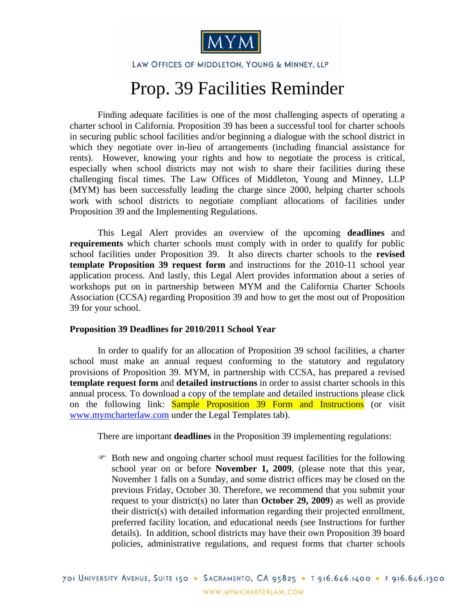

LAW OFFICES OF MIDDLETON, YOUNG & MINNEY, LLP

## Prop. 39 Facilities Reminder

Finding adequate facilities is one of the most challenging aspects of operating a charter school in California. Proposition 39 has been a successful tool for charter schools in securing public school facilities and/or beginning a dialogue with the school district in which they negotiate over in-lieu of arrangements (including financial assistance for rents). However, knowing your rights and how to negotiate the process is critical, especially when school districts may not wish to share their facilities during these challenging fiscal times. The Law Offices of Middleton, Young and Minney, LLP (MYM) has been successfully leading the charge since 2000, helping charter schools work with school districts to negotiate compliant allocations of facilities under Proposition 39 and the Implementing Regulations.

This Legal Alert provides an overview of the upcoming **deadlines** and **requirements** which charter schools must comply with in order to qualify for public school facilities under Proposition 39. It also directs charter schools to the **revised template Proposition 39 request form** and instructions for the 2010-11 school year application process. And lastly, this Legal Alert provides information about a series of workshops put on in partnership between MYM and the California Charter Schools Association (CCSA) regarding Proposition 39 and how to get the most out of Proposition 39 for your school.

## **Proposition 39 Deadlines for 2010/2011 School Year**

In order to qualify for an allocation of Proposition 39 school facilities, a charter school must make an annual request conforming to the statutory and regulatory provisions of Proposition 39. MYM, in partnership with CCSA, has prepared a revised **template request form** and **detailed instructions** in order to assist charter schools in this annual process. To download a copy of the template and detailed instructions please click on the following link: **Sample Proposition 39 Form and Instructions** (or visit www.mymcharterlaw.com under the Legal Templates tab).

There are important **deadlines** in the Proposition 39 implementing regulations:

) Both new and ongoing charter school must request facilities for the following school year on or before **November 1, 2009**, (please note that this year, November 1 falls on a Sunday, and some district offices may be closed on the previous Friday, October 30. Therefore, we recommend that you submit your request to your district(s) no later than **October 29, 2009**) as well as provide their district(s) with detailed information regarding their projected enrollment, preferred facility location, and educational needs (see Instructions for further details). In addition, school districts may have their own Proposition 39 board policies, administrative regulations, and request forms that charter schools